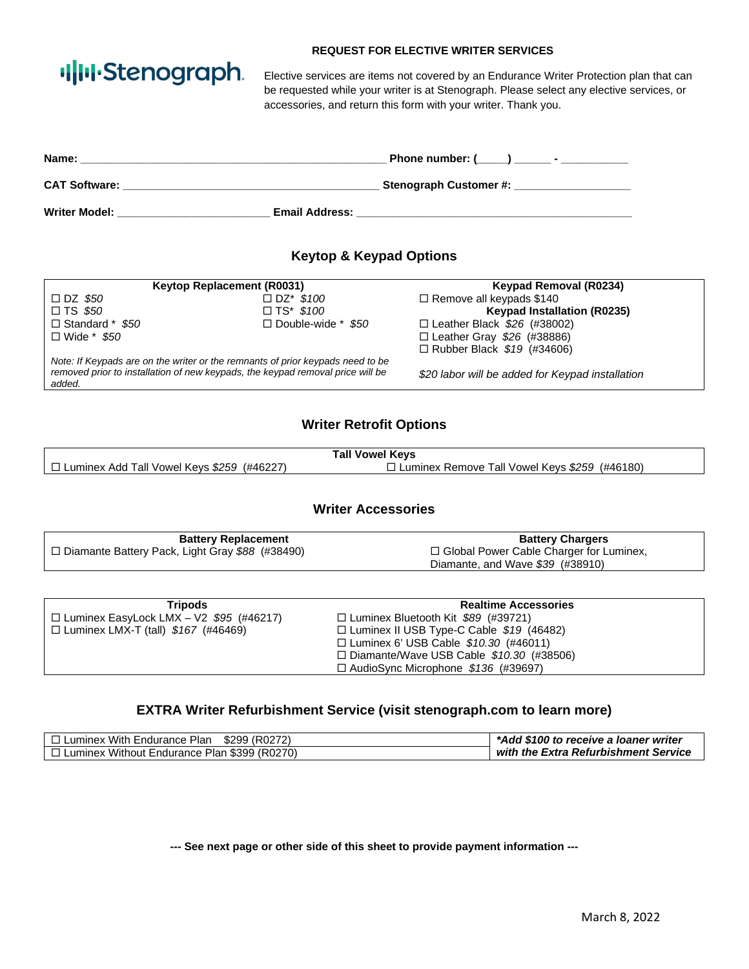# ·I|III·Stenograph.

#### **REQUEST FOR ELECTIVE WRITER SERVICES**

Elective services are items not covered by an Endurance Writer Protection plan that can be requested while your writer is at Stenograph. Please select any elective services, or accessories, and return this form with your writer. Thank you.

| Name:                | Phone number: $(\_\_\_\_\_\_$ ________ - |  |
|----------------------|------------------------------------------|--|
| <b>CAT Software:</b> | Stenograph Customer #:                   |  |
| <b>Writer Model:</b> | <b>Email Address:</b>                    |  |

# **Keytop & Keypad Options**

|                                                                                | Keytop Replacement (R0031) | Keypad Removal (R0234)                           |
|--------------------------------------------------------------------------------|----------------------------|--------------------------------------------------|
| $\Box$ DZ \$50                                                                 | $\Box$ DZ* \$100           | $\Box$ Remove all keypads \$140                  |
| $\Box$ TS \$50                                                                 | $\Box$ TS* \$100           | <b>Keypad Installation (R0235)</b>               |
| $\Box$ Standard * \$50                                                         | $\Box$ Double-wide * \$50  | $\Box$ Leather Black \$26 (#38002)               |
| $\Box$ Wide * \$50                                                             |                            | $\Box$ Leather Gray \$26 (#38886)                |
|                                                                                |                            | $\Box$ Rubber Black $$19$ (#34606)               |
| Note: If Keypads are on the writer or the remnants of prior keypads need to be |                            |                                                  |
| removed prior to installation of new keypads, the keypad removal price will be |                            | \$20 labor will be added for Keypad installation |
| added.                                                                         |                            |                                                  |

### **Writer Retrofit Options**

| <b>Tall Vowel Keys</b>                            |                                                 |
|---------------------------------------------------|-------------------------------------------------|
| $\Box$ Luminex Add Tall Vowel Keys \$259 (#46227) | 1 Luminex Remove Tall Vowel Keys \$259 (#46180) |

#### **Writer Accessories**

| <b>Battery Replacement</b>                        | <b>Battery Chargers</b>                   |
|---------------------------------------------------|-------------------------------------------|
| □ Diamante Battery Pack, Light Gray \$88 (#38490) | □ Global Power Cable Charger for Luminex, |
|                                                   | Diamante, and Wave $$39$ (#38910)         |

| <b>Tripods</b>                                 | <b>Realtime Accessories</b>                     |  |
|------------------------------------------------|-------------------------------------------------|--|
| $\Box$ Luminex EasyLock LMX - V2 \$95 (#46217) | $\Box$ Luminex Bluetooth Kit \$89 (#39721)      |  |
| $\Box$ Luminex LMX-T (tall) $$167$ (#46469)    | $\Box$ Luminex II USB Type-C Cable \$19 (46482) |  |
|                                                | $\Box$ Luminex 6' USB Cable \$10.30 (#46011)    |  |
|                                                | $\Box$ Diamante/Wave USB Cable \$10.30 (#38506) |  |
|                                                | $\Box$ AudioSync Microphone \$136 (#39697)      |  |

#### **EXTRA Writer Refurbishment Service (visit stenograph.com to learn more)**

| $\Box$ Luminex With Endurance Plan $$299$ (R0272)   | *Add \$100 to receive a loaner writer |
|-----------------------------------------------------|---------------------------------------|
| $\Box$ Luminex Without Endurance Plan \$399 (R0270) | with the Extra Refurbishment Service  |

**--- See next page or other side of this sheet to provide payment information ---**